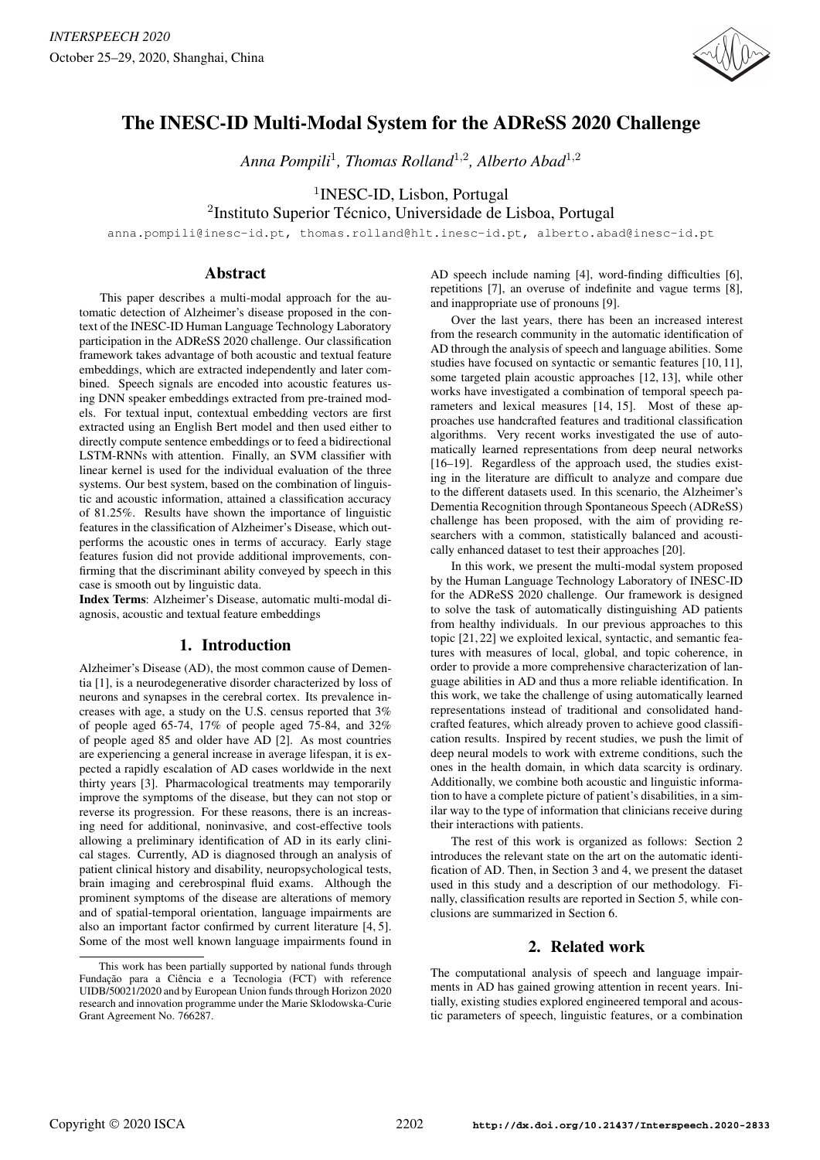

# The INESC-ID Multi-Modal System for the ADReSS 2020 Challenge

*Anna Pompili*<sup>1</sup> *, Thomas Rolland*<sup>1</sup>,<sup>2</sup> *, Alberto Abad*<sup>1</sup>,<sup>2</sup>

1 INESC-ID, Lisbon, Portugal

<sup>2</sup>Instituto Superior Técnico, Universidade de Lisboa, Portugal

anna.pompili@inesc-id.pt, thomas.rolland@hlt.inesc-id.pt, alberto.abad@inesc-id.pt

## Abstract

This paper describes a multi-modal approach for the automatic detection of Alzheimer's disease proposed in the context of the INESC-ID Human Language Technology Laboratory participation in the ADReSS 2020 challenge. Our classification framework takes advantage of both acoustic and textual feature embeddings, which are extracted independently and later combined. Speech signals are encoded into acoustic features using DNN speaker embeddings extracted from pre-trained models. For textual input, contextual embedding vectors are first extracted using an English Bert model and then used either to directly compute sentence embeddings or to feed a bidirectional LSTM-RNNs with attention. Finally, an SVM classifier with linear kernel is used for the individual evaluation of the three systems. Our best system, based on the combination of linguistic and acoustic information, attained a classification accuracy of 81.25%. Results have shown the importance of linguistic features in the classification of Alzheimer's Disease, which outperforms the acoustic ones in terms of accuracy. Early stage features fusion did not provide additional improvements, confirming that the discriminant ability conveyed by speech in this case is smooth out by linguistic data.

Index Terms: Alzheimer's Disease, automatic multi-modal diagnosis, acoustic and textual feature embeddings

## 1. Introduction

Alzheimer's Disease (AD), the most common cause of Dementia [1], is a neurodegenerative disorder characterized by loss of neurons and synapses in the cerebral cortex. Its prevalence increases with age, a study on the U.S. census reported that 3% of people aged 65-74, 17% of people aged 75-84, and 32% of people aged 85 and older have AD [2]. As most countries are experiencing a general increase in average lifespan, it is expected a rapidly escalation of AD cases worldwide in the next thirty years [3]. Pharmacological treatments may temporarily improve the symptoms of the disease, but they can not stop or reverse its progression. For these reasons, there is an increasing need for additional, noninvasive, and cost-effective tools allowing a preliminary identification of AD in its early clinical stages. Currently, AD is diagnosed through an analysis of patient clinical history and disability, neuropsychological tests, brain imaging and cerebrospinal fluid exams. Although the prominent symptoms of the disease are alterations of memory and of spatial-temporal orientation, language impairments are also an important factor confirmed by current literature [4, 5]. Some of the most well known language impairments found in AD speech include naming [4], word-finding difficulties [6], repetitions [7], an overuse of indefinite and vague terms [8], and inappropriate use of pronouns [9].

Over the last years, there has been an increased interest from the research community in the automatic identification of AD through the analysis of speech and language abilities. Some studies have focused on syntactic or semantic features [10, 11], some targeted plain acoustic approaches [12, 13], while other works have investigated a combination of temporal speech parameters and lexical measures [14, 15]. Most of these approaches use handcrafted features and traditional classification algorithms. Very recent works investigated the use of automatically learned representations from deep neural networks [16–19]. Regardless of the approach used, the studies existing in the literature are difficult to analyze and compare due to the different datasets used. In this scenario, the Alzheimer's Dementia Recognition through Spontaneous Speech (ADReSS) challenge has been proposed, with the aim of providing researchers with a common, statistically balanced and acoustically enhanced dataset to test their approaches [20].

In this work, we present the multi-modal system proposed by the Human Language Technology Laboratory of INESC-ID for the ADReSS 2020 challenge. Our framework is designed to solve the task of automatically distinguishing AD patients from healthy individuals. In our previous approaches to this topic [21, 22] we exploited lexical, syntactic, and semantic features with measures of local, global, and topic coherence, in order to provide a more comprehensive characterization of language abilities in AD and thus a more reliable identification. In this work, we take the challenge of using automatically learned representations instead of traditional and consolidated handcrafted features, which already proven to achieve good classification results. Inspired by recent studies, we push the limit of deep neural models to work with extreme conditions, such the ones in the health domain, in which data scarcity is ordinary. Additionally, we combine both acoustic and linguistic information to have a complete picture of patient's disabilities, in a similar way to the type of information that clinicians receive during their interactions with patients.

The rest of this work is organized as follows: Section 2 introduces the relevant state on the art on the automatic identification of AD. Then, in Section 3 and 4, we present the dataset used in this study and a description of our methodology. Finally, classification results are reported in Section 5, while conclusions are summarized in Section 6.

## 2. Related work

The computational analysis of speech and language impairments in AD has gained growing attention in recent years. Initially, existing studies explored engineered temporal and acoustic parameters of speech, linguistic features, or a combination

This work has been partially supported by national funds through Fundação para a Ciência e a Tecnologia (FCT) with reference UIDB/50021/2020 and by European Union funds through Horizon 2020 research and innovation programme under the Marie Sklodowska-Curie Grant Agreement No. 766287.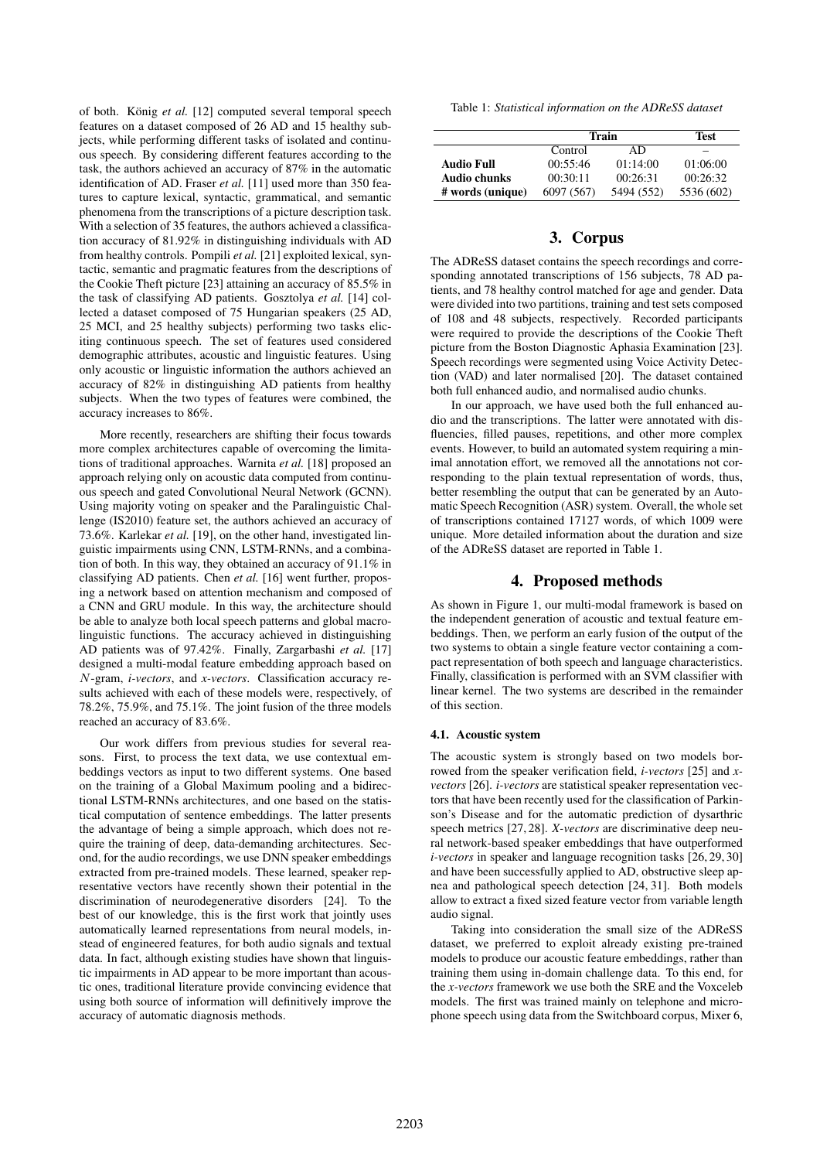of both. König et al. [12] computed several temporal speech features on a dataset composed of 26 AD and 15 healthy subjects, while performing different tasks of isolated and continuous speech. By considering different features according to the task, the authors achieved an accuracy of 87% in the automatic identification of AD. Fraser *et al.* [11] used more than 350 features to capture lexical, syntactic, grammatical, and semantic phenomena from the transcriptions of a picture description task. With a selection of 35 features, the authors achieved a classification accuracy of 81.92% in distinguishing individuals with AD from healthy controls. Pompili *et al.* [21] exploited lexical, syntactic, semantic and pragmatic features from the descriptions of the Cookie Theft picture [23] attaining an accuracy of 85.5% in the task of classifying AD patients. Gosztolya *et al.* [14] collected a dataset composed of 75 Hungarian speakers (25 AD, 25 MCI, and 25 healthy subjects) performing two tasks eliciting continuous speech. The set of features used considered demographic attributes, acoustic and linguistic features. Using only acoustic or linguistic information the authors achieved an accuracy of 82% in distinguishing AD patients from healthy subjects. When the two types of features were combined, the accuracy increases to 86%.

More recently, researchers are shifting their focus towards more complex architectures capable of overcoming the limitations of traditional approaches. Warnita *et al.* [18] proposed an approach relying only on acoustic data computed from continuous speech and gated Convolutional Neural Network (GCNN). Using majority voting on speaker and the Paralinguistic Challenge (IS2010) feature set, the authors achieved an accuracy of 73.6%. Karlekar *et al.* [19], on the other hand, investigated linguistic impairments using CNN, LSTM-RNNs, and a combination of both. In this way, they obtained an accuracy of 91.1% in classifying AD patients. Chen *et al.* [16] went further, proposing a network based on attention mechanism and composed of a CNN and GRU module. In this way, the architecture should be able to analyze both local speech patterns and global macrolinguistic functions. The accuracy achieved in distinguishing AD patients was of 97.42%. Finally, Zargarbashi *et al.* [17] designed a multi-modal feature embedding approach based on N-gram, *i-vectors*, and *x-vectors*. Classification accuracy results achieved with each of these models were, respectively, of 78.2%, 75.9%, and 75.1%. The joint fusion of the three models reached an accuracy of 83.6%.

Our work differs from previous studies for several reasons. First, to process the text data, we use contextual embeddings vectors as input to two different systems. One based on the training of a Global Maximum pooling and a bidirectional LSTM-RNNs architectures, and one based on the statistical computation of sentence embeddings. The latter presents the advantage of being a simple approach, which does not require the training of deep, data-demanding architectures. Second, for the audio recordings, we use DNN speaker embeddings extracted from pre-trained models. These learned, speaker representative vectors have recently shown their potential in the discrimination of neurodegenerative disorders [24]. To the best of our knowledge, this is the first work that jointly uses automatically learned representations from neural models, instead of engineered features, for both audio signals and textual data. In fact, although existing studies have shown that linguistic impairments in AD appear to be more important than acoustic ones, traditional literature provide convincing evidence that using both source of information will definitively improve the accuracy of automatic diagnosis methods.

Table 1: *Statistical information on the ADReSS dataset*

|                   | Train      |            | Test       |  |
|-------------------|------------|------------|------------|--|
|                   | Control    | AD         |            |  |
| <b>Audio Full</b> | 00:55:46   | 01:14:00   | 01:06:00   |  |
| Audio chunks      | 00:30:11   | 00:26:31   | 00:26:32   |  |
| # words (unique)  | 6097 (567) | 5494 (552) | 5536 (602) |  |

## 3. Corpus

The ADReSS dataset contains the speech recordings and corresponding annotated transcriptions of 156 subjects, 78 AD patients, and 78 healthy control matched for age and gender. Data were divided into two partitions, training and test sets composed of 108 and 48 subjects, respectively. Recorded participants were required to provide the descriptions of the Cookie Theft picture from the Boston Diagnostic Aphasia Examination [23]. Speech recordings were segmented using Voice Activity Detection (VAD) and later normalised [20]. The dataset contained both full enhanced audio, and normalised audio chunks.

In our approach, we have used both the full enhanced audio and the transcriptions. The latter were annotated with disfluencies, filled pauses, repetitions, and other more complex events. However, to build an automated system requiring a minimal annotation effort, we removed all the annotations not corresponding to the plain textual representation of words, thus, better resembling the output that can be generated by an Automatic Speech Recognition (ASR) system. Overall, the whole set of transcriptions contained 17127 words, of which 1009 were unique. More detailed information about the duration and size of the ADReSS dataset are reported in Table 1.

## 4. Proposed methods

As shown in Figure 1, our multi-modal framework is based on the independent generation of acoustic and textual feature embeddings. Then, we perform an early fusion of the output of the two systems to obtain a single feature vector containing a compact representation of both speech and language characteristics. Finally, classification is performed with an SVM classifier with linear kernel. The two systems are described in the remainder of this section.

### 4.1. Acoustic system

The acoustic system is strongly based on two models borrowed from the speaker verification field, *i-vectors* [25] and *xvectors* [26]. *i-vectors* are statistical speaker representation vectors that have been recently used for the classification of Parkinson's Disease and for the automatic prediction of dysarthric speech metrics [27, 28]. *X-vectors* are discriminative deep neural network-based speaker embeddings that have outperformed *i-vectors* in speaker and language recognition tasks [26, 29, 30] and have been successfully applied to AD, obstructive sleep apnea and pathological speech detection [24, 31]. Both models allow to extract a fixed sized feature vector from variable length audio signal.

Taking into consideration the small size of the ADReSS dataset, we preferred to exploit already existing pre-trained models to produce our acoustic feature embeddings, rather than training them using in-domain challenge data. To this end, for the *x-vectors* framework we use both the SRE and the Voxceleb models. The first was trained mainly on telephone and microphone speech using data from the Switchboard corpus, Mixer 6,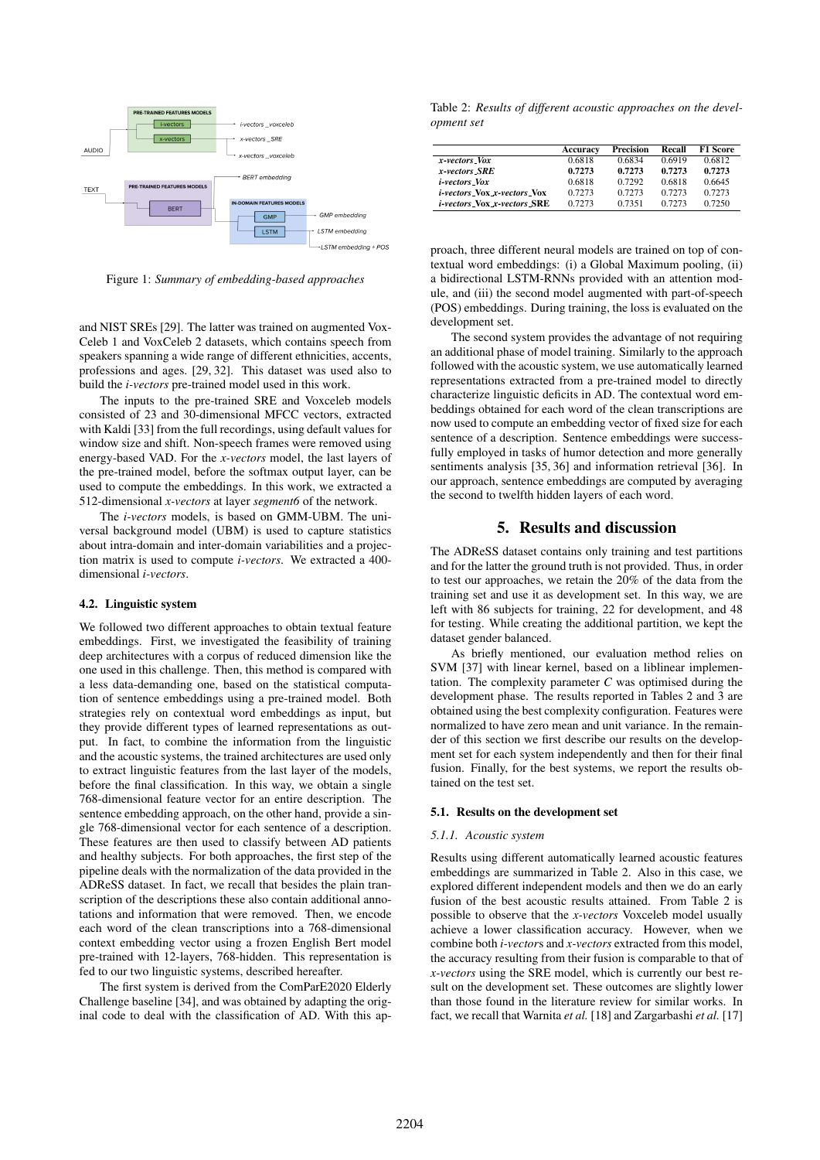

Figure 1: *Summary of embedding-based approaches*

and NIST SREs [29]. The latter was trained on augmented Vox-Celeb 1 and VoxCeleb 2 datasets, which contains speech from speakers spanning a wide range of different ethnicities, accents, professions and ages. [29, 32]. This dataset was used also to build the *i-vectors* pre-trained model used in this work.

The inputs to the pre-trained SRE and Voxceleb models consisted of 23 and 30-dimensional MFCC vectors, extracted with Kaldi [33] from the full recordings, using default values for window size and shift. Non-speech frames were removed using energy-based VAD. For the *x-vectors* model, the last layers of the pre-trained model, before the softmax output layer, can be used to compute the embeddings. In this work, we extracted a 512-dimensional *x-vectors* at layer *segment6* of the network.

The *i-vectors* models, is based on GMM-UBM. The universal background model (UBM) is used to capture statistics about intra-domain and inter-domain variabilities and a projection matrix is used to compute *i-vectors*. We extracted a 400 dimensional *i-vectors*.

#### 4.2. Linguistic system

We followed two different approaches to obtain textual feature embeddings. First, we investigated the feasibility of training deep architectures with a corpus of reduced dimension like the one used in this challenge. Then, this method is compared with a less data-demanding one, based on the statistical computation of sentence embeddings using a pre-trained model. Both strategies rely on contextual word embeddings as input, but they provide different types of learned representations as output. In fact, to combine the information from the linguistic and the acoustic systems, the trained architectures are used only to extract linguistic features from the last layer of the models, before the final classification. In this way, we obtain a single 768-dimensional feature vector for an entire description. The sentence embedding approach, on the other hand, provide a single 768-dimensional vector for each sentence of a description. These features are then used to classify between AD patients and healthy subjects. For both approaches, the first step of the pipeline deals with the normalization of the data provided in the ADReSS dataset. In fact, we recall that besides the plain transcription of the descriptions these also contain additional annotations and information that were removed. Then, we encode each word of the clean transcriptions into a 768-dimensional context embedding vector using a frozen English Bert model pre-trained with 12-layers, 768-hidden. This representation is fed to our two linguistic systems, described hereafter.

The first system is derived from the ComParE2020 Elderly Challenge baseline [34], and was obtained by adapting the original code to deal with the classification of AD. With this ap-

Table 2: *Results of different acoustic approaches on the development set*

|                                    | Accuracy | Precision | Recall | <b>F1 Score</b> |
|------------------------------------|----------|-----------|--------|-----------------|
| x-vectors Vox                      | 0.6818   | 0.6834    | 0.6919 | 0.6812          |
| x-vectors SRE                      | 0.7273   | 0.7273    | 0.7273 | 0.7273          |
| <i>i-vectors Vox</i>               | 0.6818   | 0.7292    | 0.6818 | 0.6645          |
| <i>i-vectors_Vox_x-vectors_Vox</i> | 0.7273   | 0.7273    | 0.7273 | 0.7273          |
| <i>i-vectors_Nox_x-vectors_SRE</i> | 0.7273   | 0.7351    | 0.7273 | 0.7250          |

proach, three different neural models are trained on top of contextual word embeddings: (i) a Global Maximum pooling, (ii) a bidirectional LSTM-RNNs provided with an attention module, and (iii) the second model augmented with part-of-speech (POS) embeddings. During training, the loss is evaluated on the development set.

The second system provides the advantage of not requiring an additional phase of model training. Similarly to the approach followed with the acoustic system, we use automatically learned representations extracted from a pre-trained model to directly characterize linguistic deficits in AD. The contextual word embeddings obtained for each word of the clean transcriptions are now used to compute an embedding vector of fixed size for each sentence of a description. Sentence embeddings were successfully employed in tasks of humor detection and more generally sentiments analysis [35, 36] and information retrieval [36]. In our approach, sentence embeddings are computed by averaging the second to twelfth hidden layers of each word.

## 5. Results and discussion

The ADReSS dataset contains only training and test partitions and for the latter the ground truth is not provided. Thus, in order to test our approaches, we retain the 20% of the data from the training set and use it as development set. In this way, we are left with 86 subjects for training, 22 for development, and 48 for testing. While creating the additional partition, we kept the dataset gender balanced.

As briefly mentioned, our evaluation method relies on SVM [37] with linear kernel, based on a liblinear implementation. The complexity parameter *C* was optimised during the development phase. The results reported in Tables 2 and 3 are obtained using the best complexity configuration. Features were normalized to have zero mean and unit variance. In the remainder of this section we first describe our results on the development set for each system independently and then for their final fusion. Finally, for the best systems, we report the results obtained on the test set.

#### 5.1. Results on the development set

#### *5.1.1. Acoustic system*

Results using different automatically learned acoustic features embeddings are summarized in Table 2. Also in this case, we explored different independent models and then we do an early fusion of the best acoustic results attained. From Table 2 is possible to observe that the *x-vectors* Voxceleb model usually achieve a lower classification accuracy. However, when we combine both *i-vector*s and *x-vectors* extracted from this model, the accuracy resulting from their fusion is comparable to that of *x-vectors* using the SRE model, which is currently our best result on the development set. These outcomes are slightly lower than those found in the literature review for similar works. In fact, we recall that Warnita *et al.* [18] and Zargarbashi *et al.* [17]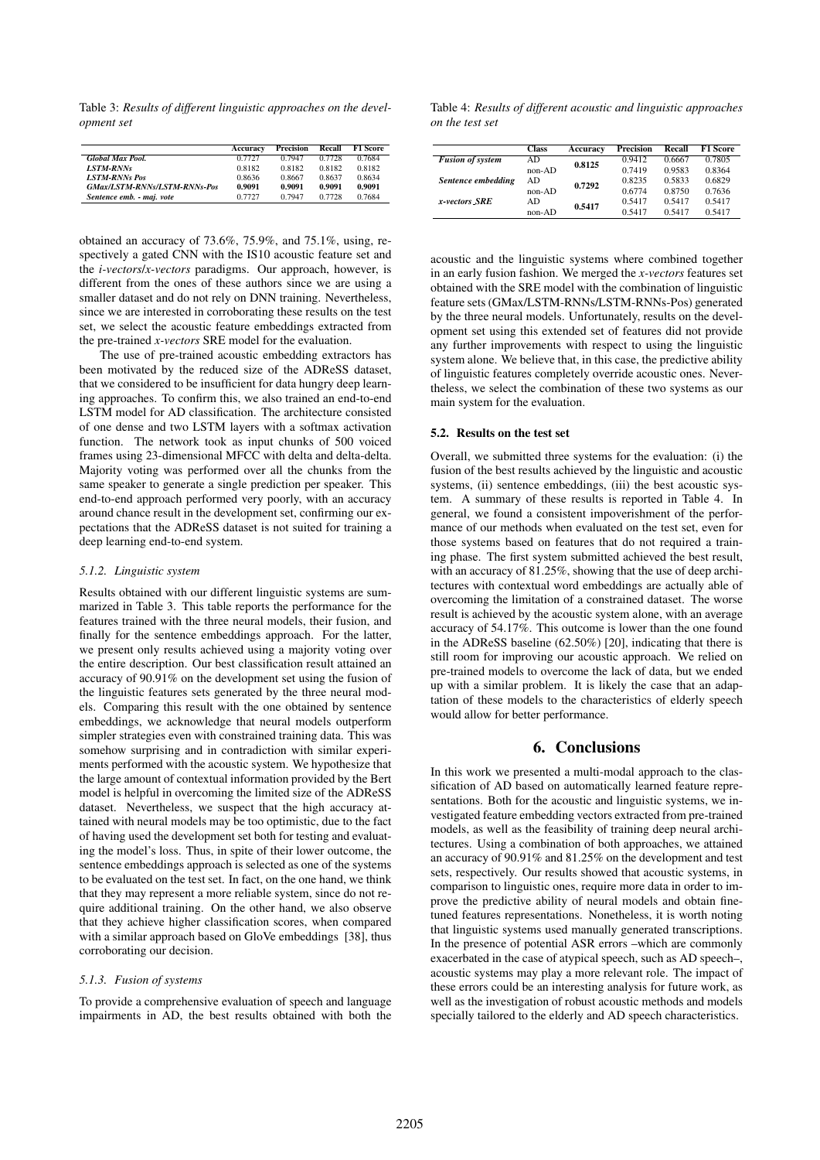Table 3: *Results of different linguistic approaches on the development set*

|                                     | Accuracy | Precision | Recall | <b>F1 Score</b> |
|-------------------------------------|----------|-----------|--------|-----------------|
| <b>Global Max Pool.</b>             | 0.7727   | 0.7947    | 0.7728 | 0.7684          |
| <b>LSTM-RNNs</b>                    | 0.8182   | 0.8182    | 0.8182 | 0.8182          |
| <b>LSTM-RNNs Pos</b>                | 0.8636   | 0.8667    | 0.8637 | 0.8634          |
| <b>GMax/LSTM-RNNs/LSTM-RNNs-Pos</b> | 0.9091   | 0.9091    | 0.9091 | 0.9091          |
| Sentence emb. - maj. vote           | 0.7727   | 0.7947    | 0.7728 | 0.7684          |

obtained an accuracy of 73.6%, 75.9%, and 75.1%, using, respectively a gated CNN with the IS10 acoustic feature set and the *i-vectors*/*x-vectors* paradigms. Our approach, however, is different from the ones of these authors since we are using a smaller dataset and do not rely on DNN training. Nevertheless, since we are interested in corroborating these results on the test set, we select the acoustic feature embeddings extracted from the pre-trained *x-vectors* SRE model for the evaluation.

The use of pre-trained acoustic embedding extractors has been motivated by the reduced size of the ADReSS dataset, that we considered to be insufficient for data hungry deep learning approaches. To confirm this, we also trained an end-to-end LSTM model for AD classification. The architecture consisted of one dense and two LSTM layers with a softmax activation function. The network took as input chunks of 500 voiced frames using 23-dimensional MFCC with delta and delta-delta. Majority voting was performed over all the chunks from the same speaker to generate a single prediction per speaker. This end-to-end approach performed very poorly, with an accuracy around chance result in the development set, confirming our expectations that the ADReSS dataset is not suited for training a deep learning end-to-end system.

#### *5.1.2. Linguistic system*

Results obtained with our different linguistic systems are summarized in Table 3. This table reports the performance for the features trained with the three neural models, their fusion, and finally for the sentence embeddings approach. For the latter, we present only results achieved using a majority voting over the entire description. Our best classification result attained an accuracy of 90.91% on the development set using the fusion of the linguistic features sets generated by the three neural models. Comparing this result with the one obtained by sentence embeddings, we acknowledge that neural models outperform simpler strategies even with constrained training data. This was somehow surprising and in contradiction with similar experiments performed with the acoustic system. We hypothesize that the large amount of contextual information provided by the Bert model is helpful in overcoming the limited size of the ADReSS dataset. Nevertheless, we suspect that the high accuracy attained with neural models may be too optimistic, due to the fact of having used the development set both for testing and evaluating the model's loss. Thus, in spite of their lower outcome, the sentence embeddings approach is selected as one of the systems to be evaluated on the test set. In fact, on the one hand, we think that they may represent a more reliable system, since do not require additional training. On the other hand, we also observe that they achieve higher classification scores, when compared with a similar approach based on GloVe embeddings [38], thus corroborating our decision.

### *5.1.3. Fusion of systems*

To provide a comprehensive evaluation of speech and language impairments in AD, the best results obtained with both the

Table 4: *Results of different acoustic and linguistic approaches on the test set*

|                         | <b>Class</b> | Accuracy | Precision | Recall | <b>F1 Score</b> |
|-------------------------|--------------|----------|-----------|--------|-----------------|
| <b>Fusion of system</b> | AD           | 0.8125   | 0.9412    | 0.6667 | 0.7805          |
|                         | $non-AD$     |          | 0.7419    | 0.9583 | 0.8364          |
| Sentence embedding      | AD           | 0.7292   | 0.8235    | 0.5833 | 0.6829          |
|                         | $non-AD$     |          | 0.6774    | 0.8750 | 0.7636          |
| x-vectors_SRE           | AD           | 0.5417   | 0.5417    | 0.5417 | 0.5417          |
|                         | $non-AD$     |          | 0.5417    | 0.5417 | 0.5417          |

acoustic and the linguistic systems where combined together in an early fusion fashion. We merged the *x-vectors* features set obtained with the SRE model with the combination of linguistic feature sets (GMax/LSTM-RNNs/LSTM-RNNs-Pos) generated by the three neural models. Unfortunately, results on the development set using this extended set of features did not provide any further improvements with respect to using the linguistic system alone. We believe that, in this case, the predictive ability of linguistic features completely override acoustic ones. Nevertheless, we select the combination of these two systems as our main system for the evaluation.

#### 5.2. Results on the test set

Overall, we submitted three systems for the evaluation: (i) the fusion of the best results achieved by the linguistic and acoustic systems, (ii) sentence embeddings, (iii) the best acoustic system. A summary of these results is reported in Table 4. In general, we found a consistent impoverishment of the performance of our methods when evaluated on the test set, even for those systems based on features that do not required a training phase. The first system submitted achieved the best result, with an accuracy of 81.25%, showing that the use of deep architectures with contextual word embeddings are actually able of overcoming the limitation of a constrained dataset. The worse result is achieved by the acoustic system alone, with an average accuracy of 54.17%. This outcome is lower than the one found in the ADReSS baseline (62.50%) [20], indicating that there is still room for improving our acoustic approach. We relied on pre-trained models to overcome the lack of data, but we ended up with a similar problem. It is likely the case that an adaptation of these models to the characteristics of elderly speech would allow for better performance.

## 6. Conclusions

In this work we presented a multi-modal approach to the classification of AD based on automatically learned feature representations. Both for the acoustic and linguistic systems, we investigated feature embedding vectors extracted from pre-trained models, as well as the feasibility of training deep neural architectures. Using a combination of both approaches, we attained an accuracy of 90.91% and 81.25% on the development and test sets, respectively. Our results showed that acoustic systems, in comparison to linguistic ones, require more data in order to improve the predictive ability of neural models and obtain finetuned features representations. Nonetheless, it is worth noting that linguistic systems used manually generated transcriptions. In the presence of potential ASR errors –which are commonly exacerbated in the case of atypical speech, such as AD speech–, acoustic systems may play a more relevant role. The impact of these errors could be an interesting analysis for future work, as well as the investigation of robust acoustic methods and models specially tailored to the elderly and AD speech characteristics.